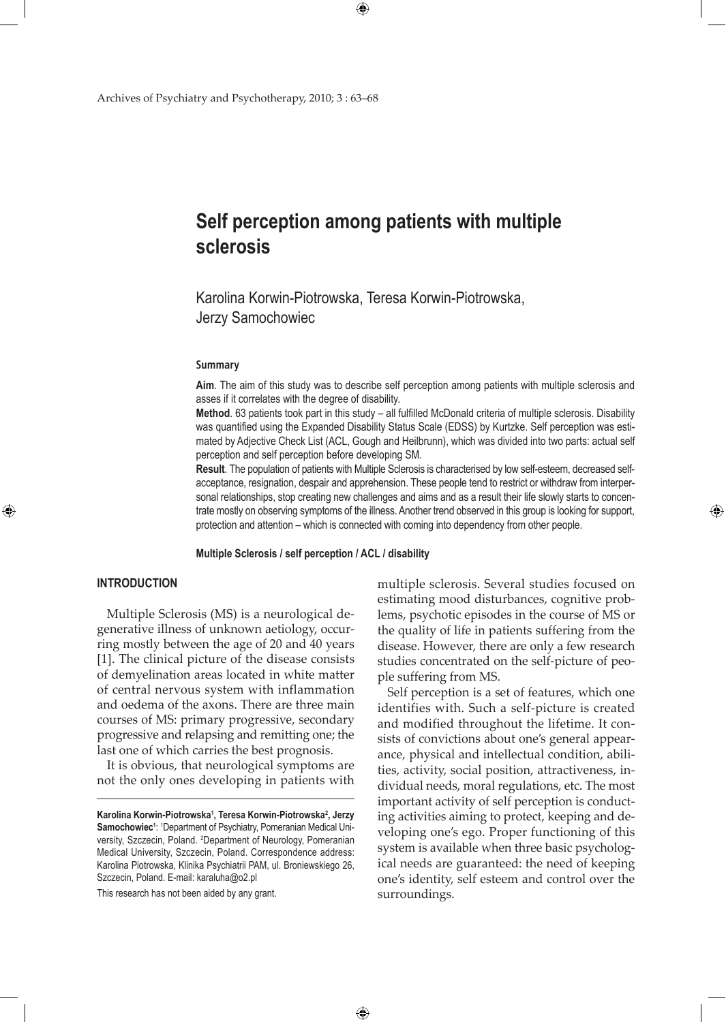Archives of Psychiatry and Psychotherapy, 2010; 3 : 63–68

# **Self perception among patients with multiple sclerosis**

Karolina Korwin-Piotrowska, Teresa Korwin-Piotrowska, Jerzy Samochowiec

 $\bigoplus$ 

#### **Summary**

**Aim**. The aim of this study was to describe self perception among patients with multiple sclerosis and asses if it correlates with the degree of disability.

**Method**. 63 patients took part in this study – all fulfilled McDonald criteria of multiple sclerosis. Disability was quantified using the Expanded Disability Status Scale (EDSS) by Kurtzke. Self perception was estimated by Adjective Check List (ACL, Gough and Heilbrunn), which was divided into two parts: actual self perception and self perception before developing SM.

**Result**. The population of patients with Multiple Sclerosis is characterised by low self-esteem, decreased selfacceptance, resignation, despair and apprehension. These people tend to restrict or withdraw from interpersonal relationships, stop creating new challenges and aims and as a result their life slowly starts to concentrate mostly on observing symptoms of the illness. Another trend observed in this group is looking for support, protection and attention – which is connected with coming into dependency from other people.

**Multiple Sclerosis / self perception / ACL / disability**

 $\bigoplus$ 

## **INTRODUCTION**

⊕

Multiple Sclerosis (MS) is a neurological degenerative illness of unknown aetiology, occurring mostly between the age of 20 and 40 years [1]. The clinical picture of the disease consists of demyelination areas located in white matter of central nervous system with inflammation and oedema of the axons. There are three main courses of MS: primary progressive, secondary progressive and relapsing and remitting one; the last one of which carries the best prognosis.

It is obvious, that neurological symptoms are not the only ones developing in patients with

This research has not been aided by any grant.

multiple sclerosis. Several studies focused on estimating mood disturbances, cognitive problems, psychotic episodes in the course of MS or the quality of life in patients suffering from the disease. However, there are only a few research studies concentrated on the self-picture of people suffering from MS.

⊕

Self perception is a set of features, which one identifies with. Such a self-picture is created and modified throughout the lifetime. It consists of convictions about one's general appearance, physical and intellectual condition, abilities, activity, social position, attractiveness, individual needs, moral regulations, etc. The most important activity of self perception is conducting activities aiming to protect, keeping and developing one's ego. Proper functioning of this system is available when three basic psychological needs are guaranteed: the need of keeping one's identity, self esteem and control over the surroundings.

**Karolina Korwin-Piotrowska1 , Teresa Korwin-Piotrowska<sup>2</sup> , Jerzy Samochowiec<sup>1</sup>** : 1 Department of Psychiatry, Pomeranian Medical University, Szczecin, Poland. <sup>2</sup>Department of Neurology, Pomeranian Medical University, Szczecin, Poland. Correspondence address: Karolina Piotrowska, Klinika Psychiatrii PAM, ul. Broniewskiego 26, Szczecin, Poland. E-mail: karaluha@o2.pl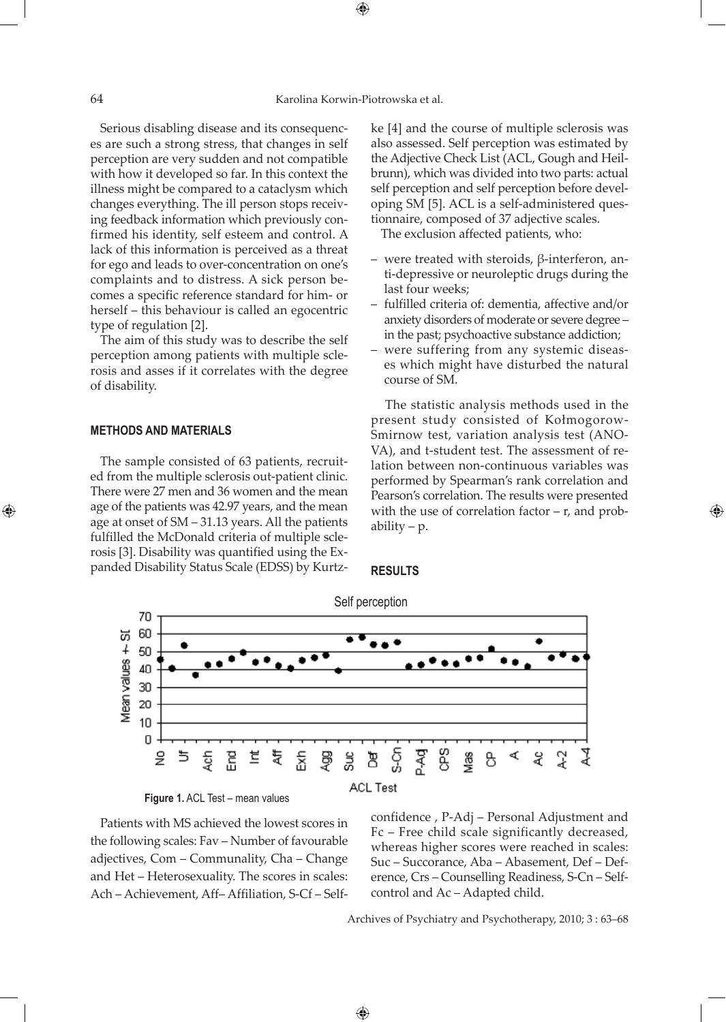Serious disabling disease and its consequences are such a strong stress, that changes in self perception are very sudden and not compatible with how it developed so far. In this context the illness might be compared to a cataclysm which changes everything. The ill person stops receiving feedback information which previously confirmed his identity, self esteem and control. A lack of this information is perceived as a threat for ego and leads to over-concentration on one's complaints and to distress. A sick person becomes a specific reference standard for him- or herself – this behaviour is called an egocentric type of regulation [2].

The aim of this study was to describe the self perception among patients with multiple sclerosis and asses if it correlates with the degree of disability.

### **METHODS AND MATERIALS**

⊕

The sample consisted of 63 patients, recruited from the multiple sclerosis out-patient clinic. There were 27 men and 36 women and the mean age of the patients was 42.97 years, and the mean age at onset of SM – 31.13 years. All the patients fulfilled the McDonald criteria of multiple sclerosis [3]. Disability was quantified using the Expanded Disability Status Scale (EDSS) by Kurtzke [4] and the course of multiple sclerosis was also assessed. Self perception was estimated by the Adjective Check List (ACL, Gough and Heilbrunn), which was divided into two parts: actual self perception and self perception before developing SM [5]. ACL is a self-administered questionnaire, composed of 37 adjective scales.

The exclusion affected patients, who:

- were treated with steroids, β-interferon, anti-depressive or neuroleptic drugs during the last four weeks;
- fulfilled criteria of: dementia, affective and/or anxiety disorders of moderate or severe degree – in the past; psychoactive substance addiction;
- were suffering from any systemic diseases which might have disturbed the natural course of SM.

 The statistic analysis methods used in the present study consisted of Kołmogorow-Smirnow test, variation analysis test (ANO-VA), and t-student test. The assessment of relation between non-continuous variables was performed by Spearman's rank correlation and Pearson's correlation. The results were presented with the use of correlation factor  $-$  r, and probability  $-p$ .

⊕

#### **RESULTS**



 $\bigoplus$ 

**Figure 1.** ACL Test – mean values

Patients with MS achieved the lowest scores in the following scales: Fav – Number of favourable adjectives, Com – Communality, Cha – Change and Het – Heterosexuality. The scores in scales: Ach – Achievement, Aff– Affiliation, S-Cf – Selfconfidence , P-Adj – Personal Adjustment and Fc – Free child scale significantly decreased, whereas higher scores were reached in scales: Suc – Succorance, Aba – Abasement, Def – Deference, Crs – Counselling Readiness, S-Cn – Selfcontrol and Ac – Adapted child.

Archives of Psychiatry and Psychotherapy, 2010; 3 : 63–68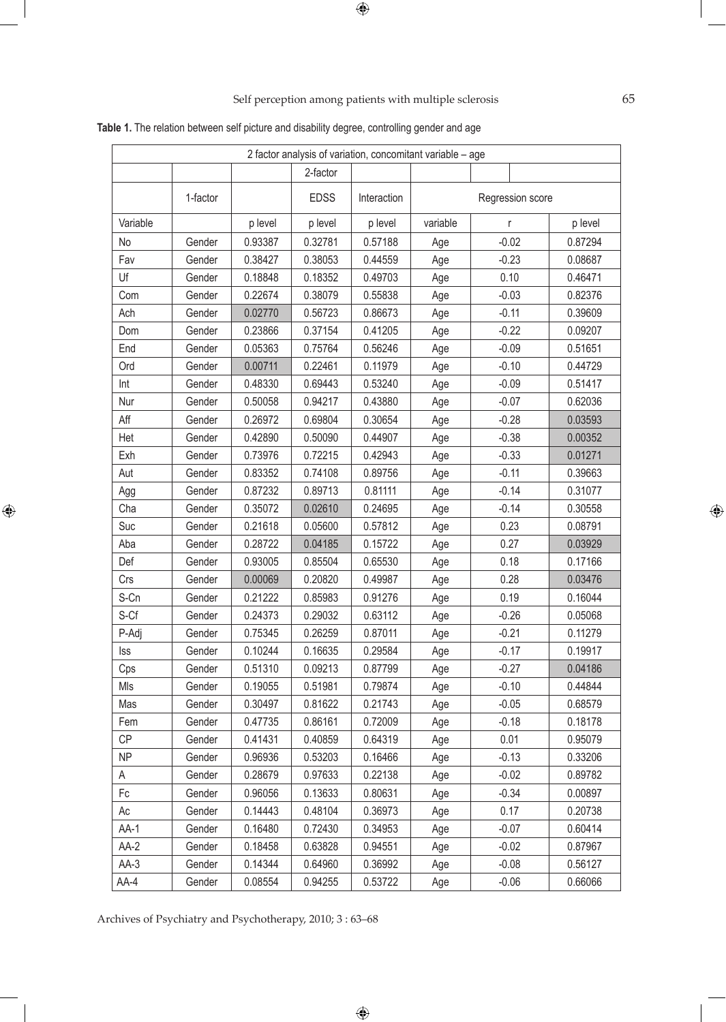# Self perception among patients with multiple sclerosis 65

|            |          |         |             | 2 factor analysis of variation, concomitant variable - age |          |                  |         |  |
|------------|----------|---------|-------------|------------------------------------------------------------|----------|------------------|---------|--|
|            |          |         | 2-factor    |                                                            |          |                  |         |  |
|            | 1-factor |         | <b>EDSS</b> | Interaction                                                |          | Regression score |         |  |
| Variable   |          | p level | p level     | p level                                                    | variable | r                | p level |  |
| No         | Gender   | 0.93387 | 0.32781     | 0.57188                                                    | Age      | $-0.02$          | 0.87294 |  |
| Fav        | Gender   | 0.38427 | 0.38053     | 0.44559                                                    | Age      | $-0.23$          | 0.08687 |  |
| Uf         | Gender   | 0.18848 | 0.18352     | 0.49703                                                    | Age      | 0.10             | 0.46471 |  |
| Com        | Gender   | 0.22674 | 0.38079     | 0.55838                                                    | Age      | $-0.03$          | 0.82376 |  |
| Ach        | Gender   | 0.02770 | 0.56723     | 0.86673                                                    | Age      | $-0.11$          | 0.39609 |  |
| Dom        | Gender   | 0.23866 | 0.37154     | 0.41205                                                    | Age      | $-0.22$          | 0.09207 |  |
| End        | Gender   | 0.05363 | 0.75764     | 0.56246                                                    | Age      | $-0.09$          | 0.51651 |  |
| Ord        | Gender   | 0.00711 | 0.22461     | 0.11979                                                    | Age      | $-0.10$          | 0.44729 |  |
| Int        | Gender   | 0.48330 | 0.69443     | 0.53240                                                    | Age      | $-0.09$          | 0.51417 |  |
| Nur        | Gender   | 0.50058 | 0.94217     | 0.43880                                                    | Age      | $-0.07$          | 0.62036 |  |
| Aff        | Gender   | 0.26972 | 0.69804     | 0.30654                                                    | Age      | $-0.28$          | 0.03593 |  |
| Het        | Gender   | 0.42890 | 0.50090     | 0.44907                                                    | Age      | $-0.38$          | 0.00352 |  |
| Exh        | Gender   | 0.73976 | 0.72215     | 0.42943                                                    | Age      | $-0.33$          | 0.01271 |  |
| Aut        | Gender   | 0.83352 | 0.74108     | 0.89756                                                    | Age      | $-0.11$          | 0.39663 |  |
| Agg        | Gender   | 0.87232 | 0.89713     | 0.81111                                                    | Age      | $-0.14$          | 0.31077 |  |
| Cha        | Gender   | 0.35072 | 0.02610     | 0.24695                                                    | Age      | $-0.14$          | 0.30558 |  |
| Suc        | Gender   | 0.21618 | 0.05600     | 0.57812                                                    | Age      | 0.23             | 0.08791 |  |
| Aba        | Gender   | 0.28722 | 0.04185     | 0.15722                                                    | Age      | 0.27             | 0.03929 |  |
| Def        | Gender   | 0.93005 | 0.85504     | 0.65530                                                    | Age      | 0.18             | 0.17166 |  |
| Crs        | Gender   | 0.00069 | 0.20820     | 0.49987                                                    | Age      | 0.28             | 0.03476 |  |
| S-Cn       | Gender   | 0.21222 | 0.85983     | 0.91276                                                    | Age      | 0.19             | 0.16044 |  |
| S-Cf       | Gender   | 0.24373 | 0.29032     | 0.63112                                                    | Age      | $-0.26$          | 0.05068 |  |
| P-Adj      | Gender   | 0.75345 | 0.26259     | 0.87011                                                    | Age      | $-0.21$          | 0.11279 |  |
| <b>Iss</b> | Gender   | 0.10244 | 0.16635     | 0.29584                                                    | Age      | $-0.17$          | 0.19917 |  |
| Cps        | Gender   | 0.51310 | 0.09213     | 0.87799                                                    | Age      | $-0.27$          | 0.04186 |  |
| Mls        | Gender   | 0.19055 | 0.51981     | 0.79874                                                    | Age      | $-0.10$          | 0.44844 |  |
| Mas        | Gender   | 0.30497 | 0.81622     | 0.21743                                                    | Age      | $-0.05$          | 0.68579 |  |
| Fem        | Gender   | 0.47735 | 0.86161     | 0.72009                                                    | Age      | $-0.18$          | 0.18178 |  |
| <b>CP</b>  | Gender   | 0.41431 | 0.40859     | 0.64319                                                    | Age      | 0.01             | 0.95079 |  |
| <b>NP</b>  | Gender   | 0.96936 | 0.53203     | 0.16466                                                    | Age      | $-0.13$          | 0.33206 |  |
| A          | Gender   | 0.28679 | 0.97633     | 0.22138                                                    | Age      | $-0.02$          | 0.89782 |  |
| Fc         | Gender   | 0.96056 | 0.13633     | 0.80631                                                    | Age      | $-0.34$          | 0.00897 |  |
| Ac         | Gender   | 0.14443 | 0.48104     | 0.36973                                                    | Age      | 0.17             | 0.20738 |  |
| AA-1       | Gender   | 0.16480 | 0.72430     | 0.34953                                                    | Age      | $-0.07$          | 0.60414 |  |
| $AA-2$     | Gender   | 0.18458 | 0.63828     | 0.94551                                                    | Age      | $-0.02$          | 0.87967 |  |
| $AA-3$     | Gender   | 0.14344 | 0.64960     | 0.36992                                                    | Age      | $-0.08$          | 0.56127 |  |
| AA-4       | Gender   | 0.08554 | 0.94255     | 0.53722                                                    | Age      | $-0.06$          | 0.66066 |  |
|            |          |         |             |                                                            |          |                  |         |  |

 $\bigoplus$ 

**Table 1.** The relation between self picture and disability degree, controlling gender and age

Archives of Psychiatry and Psychotherapy, 2010; 3 : 63–68

 $\bigoplus$ 

 $\bigoplus$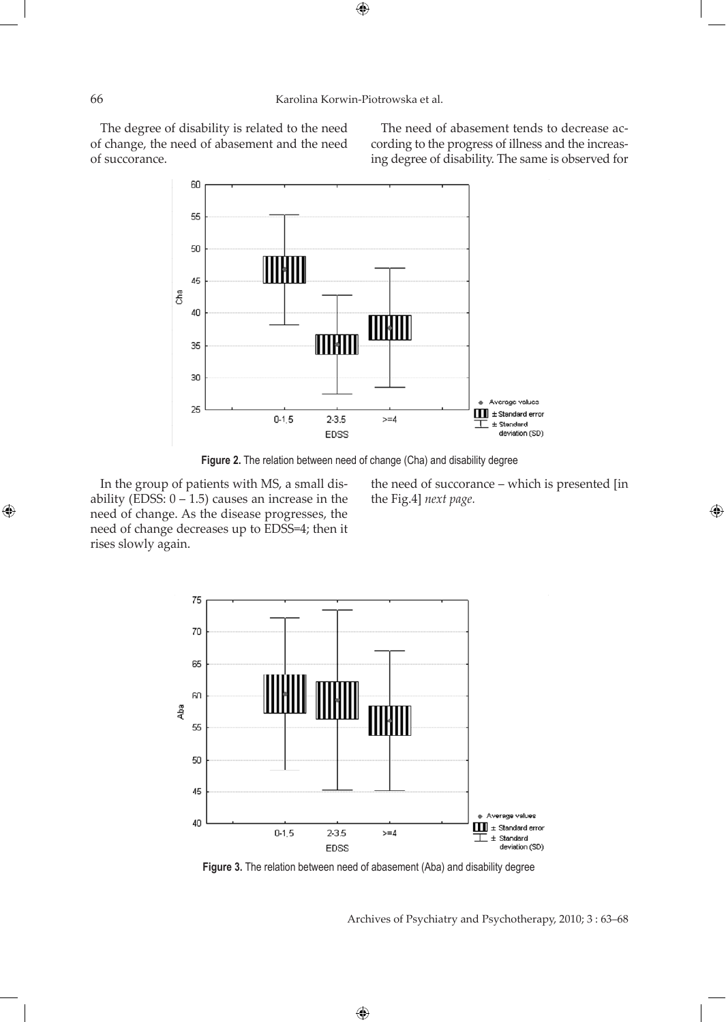The degree of disability is related to the need of change, the need of abasement and the need of succorance.

The need of abasement tends to decrease according to the progress of illness and the increasing degree of disability. The same is observed for



 **Figure 2.** The relation between need of change (Cha) and disability degree

In the group of patients with MS, a small disability (EDSS:  $0 - 1.5$ ) causes an increase in the need of change. As the disease progresses, the need of change decreases up to EDSS=4; then it rises slowly again.

the need of succorance – which is presented [in the Fig.4] *next page.*

⊕



**Figure 3.** The relation between need of abasement (Aba) and disability degree

 $\bigoplus$ 

Archives of Psychiatry and Psychotherapy, 2010; 3 : 63–68

 $\bigoplus$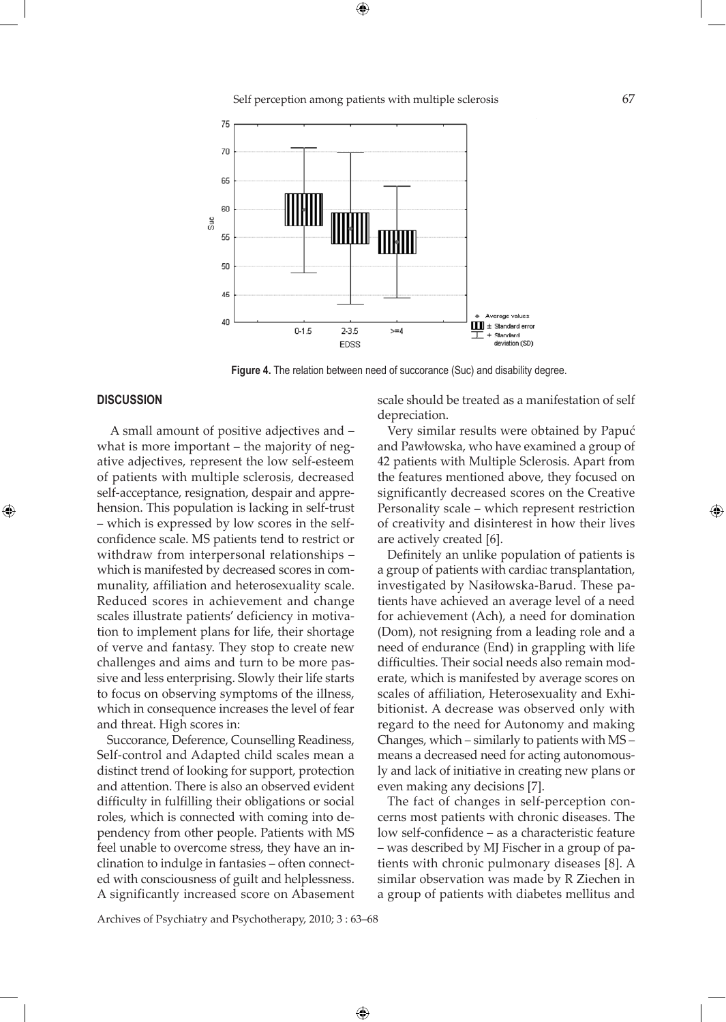Self perception among patients with multiple sclerosis 67



**Figure 4.** The relation between need of succorance (Suc) and disability degree.

#### **DISCUSSION**

⊕

 A small amount of positive adjectives and – what is more important – the majority of negative adjectives, represent the low self-esteem of patients with multiple sclerosis, decreased self-acceptance, resignation, despair and apprehension. This population is lacking in self-trust – which is expressed by low scores in the selfconfidence scale. MS patients tend to restrict or withdraw from interpersonal relationships – which is manifested by decreased scores in communality, affiliation and heterosexuality scale. Reduced scores in achievement and change scales illustrate patients' deficiency in motivation to implement plans for life, their shortage of verve and fantasy. They stop to create new challenges and aims and turn to be more passive and less enterprising. Slowly their life starts to focus on observing symptoms of the illness, which in consequence increases the level of fear and threat. High scores in:

Succorance, Deference, Counselling Readiness, Self-control and Adapted child scales mean a distinct trend of looking for support, protection and attention. There is also an observed evident difficulty in fulfilling their obligations or social roles, which is connected with coming into dependency from other people. Patients with MS feel unable to overcome stress, they have an inclination to indulge in fantasies – often connected with consciousness of guilt and helplessness. A significantly increased score on Abasement scale should be treated as a manifestation of self depreciation.

Very similar results were obtained by Papuć and Pawłowska, who have examined a group of 42 patients with Multiple Sclerosis. Apart from the features mentioned above, they focused on significantly decreased scores on the Creative Personality scale – which represent restriction of creativity and disinterest in how their lives are actively created [6].

Definitely an unlike population of patients is a group of patients with cardiac transplantation, investigated by Nasiłowska-Barud. These patients have achieved an average level of a need for achievement (Ach), a need for domination (Dom), not resigning from a leading role and a need of endurance (End) in grappling with life difficulties. Their social needs also remain moderate, which is manifested by average scores on scales of affiliation, Heterosexuality and Exhibitionist. A decrease was observed only with regard to the need for Autonomy and making Changes, which – similarly to patients with MS – means a decreased need for acting autonomously and lack of initiative in creating new plans or even making any decisions [7].

The fact of changes in self-perception concerns most patients with chronic diseases. The low self-confidence – as a characteristic feature – was described by MJ Fischer in a group of patients with chronic pulmonary diseases [8]. A similar observation was made by R Ziechen in a group of patients with diabetes mellitus and

Archives of Psychiatry and Psychotherapy, 2010; 3 : 63–68

 $\bigoplus$ 

⊕